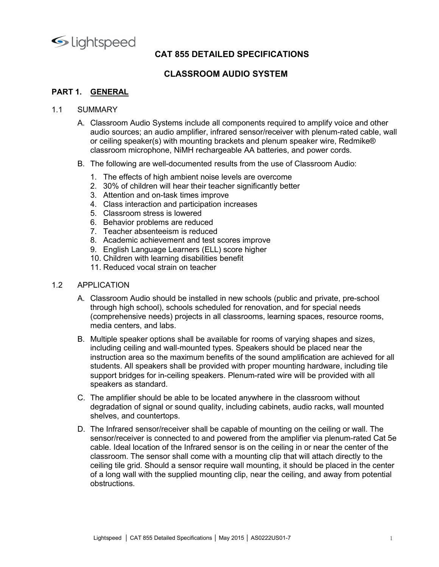

## CAT 855 DETAILED SPECIFICATIONS<br>CLASSROOM AUDIO SYSTEM NT 855 DETAILED SPECIFICATIONS<br>CLASSROOM AUDIO SYSTEM<br>.

- CAT 855 DETAILED SPECIFICATIONS<br>CLASSROOM AUDIO SYSTEM<br>PART 1. GENERAL<br>1.1 SUMMARY<br>A. Classroom Audio Systems include all components required to ampli<br>audio sources; an audio amplifier, infrared sensor/receiver with pler Lightspeed<br>
CAT 855 DETAILED SPECIFICATIONS<br>
CLASSROOM AUDIO SYSTEM<br>
PART 1. GENERAL<br>
1.1 SUMMARY<br>
A. Classroom Audio Systems include all components required to a<br>
audio sources; an audio amplifier, infrared sensor/receive A. Classroom Audio Systems include all components required to amplify voice and other<br>A. Classroom Audio Systems include all components required to amplify voice and other<br>audio sources; an audio amplifier, infrared sensor **CAT 855 DETAILED SPECIFICATIONS<br>
CLASSROOM AUDIO SYSTEM**<br> **GENERAL**<br>
Classroom Audio Systems include all components required to amplify voice and other<br>
audio sources; an audio amplifier, infrared sensor/receiver with ple **CAT 855 DETAILED SPECIFICATIONS<br>
CLASSROOM AUDIO SYSTEM**<br> **GENERAL**<br>
MMARY<br>
Classroom Audio Systems include all components required to amplify voice and other<br>
Classroom Audio Systems include all components required to am **CAT 855 DETAILED SPECIFICATIONS<br>
CLASSROOM AUDIO SYSTEM**<br>
CLASSROOM AUDIO SYSTEM<br>
Classroom Audio Systems include all components required to amplify voice and other<br>
audio sources; an audio amplifier, infrared sensor/rece SCONDINGTON CONTRIGUTED SPECIFICATIONS<br>
CLASSROOM AUDIO SYSTEM<br>
SUMMARY<br>
B. CLASSROOM AUDIO SYSTEM<br>
A. Classroom Audio: Systems include all components required to amplify voice and other<br>
and io sources; an audio amplifier **CAT 855 DETAILED SPECIFICATIONS<br>
CLASSROOM AUDIO SYSTEM**<br> **GENERAL**<br> **GENEROLE SECTOM AND AMBIG AMBIG AMBIG AMBIG AMBIG ARE ON APPLY VOICE and other and<br>
classroom Audio Systems include all components required to amplify CAT 855 DETAILED SPECIFICATIONS<br>
CLASSROOM AUDIO SYSTEM**<br> **GENERAL**<br>
MMARY<br>
Classroom Audio Systems include all components required to amplify voice and other<br>
audio sources; an audio amplifier, infrared sensor/receiver w **CAT 855 DETAILED SPECIFICATIONS<br>
CLASSROOM AUDIO SYSTEM**<br> **GENERAL**<br>
MMARY<br>
Classroom Audio Systems include all components required to amplify voice and other<br>
audio sources; an audio amplifier, infrared sensor/receiver w **CAT 855 DETAILED SPECIFICATIONS<br>
CLASSROOM AUDIO SYSTEM**<br> **GENERAL**<br>
MMARY<br>
Classroom Audio Systems include all components required to amplify voice and other<br>
audio sources; an audio amplifier, infrared sensor/receiver w **CAT 855 DETAILED SPECIFICATIONS<br>
CLASSROOM AUDIO SYSTEM**<br> **GENERAL**<br>
CLASSROOM AUDIO SYSTEM<br>
Classroom Audio Systems include all components required to amplify voice and other<br>
classroom microphone, Nilm munting brackets CAT 855 DETAILED SPECIFICATIONS<br>
CLASSROOM AUDIO SYSTEM<br>
CLASSROOM AUDIO SYSTEM<br>
MMARY<br>
Classroom Audio Systems include all components required to amplify voice and other<br>
audio sources; an audio amplifier, infrared sensor CAT 855 DETAILED SPECIFICATIONS<br>
CLASSROOM AUDIO SYSTEM<br>
Classroom Audio Systems include all components required to amplify voice and other<br>
classroom Audio Systems include all components required to amplify voice and othe **CLASSROOM AUDIO SYSTEM**<br>
CLASSROOM AUDIO SYSTEM<br>
Classroom Audio Systems include all components required to amplify voice and other<br>
audio sources; an audio amplifier, infrared sensor/receiver with plenum-rated cable, wal **GENERAL**<br>
MMARY<br>
Classroom Audio Systems include all components required to amplify voice and other<br>
audio sources; an audio amplifier, infrared sensor/receiver with plenum-rated cable, wall<br>
classroom microphone, NMH mec 1.1 SUMMARY<br>
A. Classroom Audio Systems include all components required to a<br>
audio sources; an audio amplifier, infrared sensor/receiver with<br>
or ceiling speaker(s) with mounting brackets and plenum speak<br>
classroom micro α. Classroom Audio Systems include all components required to amplify voice and other<br>audio sources; an audio amplifier, infrared sensor/receiver with plenum-rated cable, wall<br>or ceiling speaker(s) with mounting brackets Classroom Audio Systems include all components required to amplify voice and other<br>audio sources; an audio amplifier, infrared sensor/receiver with plenum-rated cable, wall<br>or ceiling speaker(s) with mounting brackets and
	- -
		- 2. 30% of children will hear their teacher significantly better
		-
		-
		-
		-
		-
		-
		- 9. English Language Learners (ELL) score higher
		-
		-

- audio sources; an audio amplifier, infrared sensor/receiver with plenum-rated cable, wall<br>or or celling speaker(s) with mounting brackets and plenum speaker wire, Redmike®<br>classroom microphone, NiMH rechargeable AA batteri
- or ceiling speaker(s) with mounting brackets and plenum speaker wire, Redmike®<br>Classroom microphone, NMH rechargeable AA batteries, and power cords.<br>The following are well-documented results from the use of Classroom Audio B. The following are well-documented results from the use of Classroom Audio:<br>
1. The effects of high ambient noise levels are overcome<br>
2. 30% of children will hear their teacher significantly better<br>
2. Sassinceration an The following are well-documented results from the use of Classroom Audio:<br>
1. The effects of high ambient noise levels are overcome<br>
2. 30% of children will hear their teacher significantly better<br>
2. 30% of children will 1. The effects of high ambient noise levels are overcome<br>
2. 30% of children will hera their teacher significantly better<br>
4. Claas interaction and participation increases<br>
5. Classroom stress is lowered<br>
6. Behavior probl net and on-task times with the simple of the constrained with the class interaction and on-task times improve<br>
2. 30% of children will hear their teacher significantly better<br>
4. Class interaction and participation increas state the matter of the state of the state of the class interaction and particular increases<br>4. Class interaction and participation increases<br>5. Class norm stees is lowered<br>7. Teacher absentees are reduced<br>8. Academic achi 4. Class interaction and participation increases<br>5. Class interaction and participation increases<br>6. Behavior problems are reduced<br>7. Teacher absenteeism is reduced<br>7. Teacher absenteeism is reduced<br>7. Teacher absenteeism 5. Classroom stress is lowered<br>
2. Reachemic achievement and test scores improve<br>
8. Academic achievement and test scores improve<br>
9. English Language Learners (ELL) score higher<br>
10. Children with learning disabilities be 6. Behavior problems are reduced<br>7. Teacher absentesies in is reduced<br>9. Academic achievement and test scores improve<br>9. English Language Learners (ELL) soore higher<br>10. Children with learning disabilities benefit<br>11. Redu 7. Teacher absenteeism is reduced<br>
8. Academic achievement and test scores improve<br>
9. English Language Learners (ELL) score higher<br>
10. Children with learning disabilities benefit<br>
11. Reduced vocal strain on teacher<br>
11. 9. Tradition and the Internal technology and the Infrared Sensor Theorem is the Children with learning disabilities benefit<br>
11. Reduced vocal strain on teacher<br>
APPLICATION<br>
A. Classroom Audio should be installed in new s
- 
- Histration area so the mationum benefits of the sound amplification are achieved for all<br>ustruction area so the maximum benefits of the sound amplification are achieved for all<br>ustruction area so the maximum benefits of sensor<br>The Children with learning disabilities benefit<br>T1. Reduced vocal strain on teacher<br>T1. Reduced vocal strain on teacher<br>T1. Reduced vocal strain on teacher<br>through high school), schools scheduled for renovation, and <sup>12</sup>. Comator wincounting otocomic the Infrared sensor of the Infrared sensor of the Infrared Vocal strain on teacher<br>
11. Reduced vocal strain on teacher<br>
Ideal (comprehensive needs) projects in all classrooms, learning s <sup>21</sup>. CACCOCO TOCONTIGATION<br>
21LCATION<br>
21LCATION<br>
Classroom Audio should be installed in new schools (public and private, pre-school<br>
21CATION<br>
21CATION<br>
21CATION<br>
21CATION<br>
22CATION a movalison in a movalison of the resp PLICATION<br>Classroom Audio should be installed in new schools (public and private, pre-school<br>clomprehensive needs) projects in all classrooms, learning spaces, resource rooms,<br>media centers, and labs.<br>Comprehensive needs) Classroom Audio should be installed in new schools (public and private, pre-school<br>clossroom Audio shoul), schools scheduled for renovation, and for special needs<br>(comprehensive needs) projects in all classrooms, learning obstructions.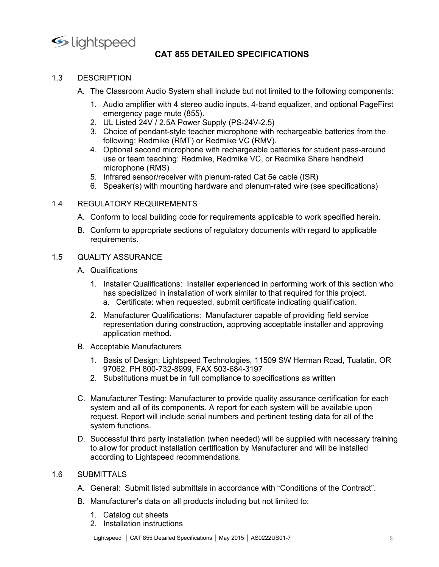

- 
- CAT 855 DETAILED SPECIFICATIONS<br>dio System shall include but not limited to the following components:
- ●<br>
Lightspeed<br>
CAT 855 DETAILED SPECIFICATIONS<br>
1.3 DESCRIPTION<br>
A. The Classroom Audio System shall include but not limited to the<br>
1. Audio amplifier with 4 stereo audio inputs, 4-band equalizer,<br>
emergency page mute (8 Super Contributed CAT 855 DETAILED SPECIFICATIONS<br>
A. The Classroom Audio System shall include but not limited to the following components:<br>
1. Audio amplifier with 4 stereo audio inputs, 4-band equalizer, and optional Pag 1. SCRIPTION<br>
1. Audio amplifier with 4 stereo audio inputs, 4-band equalizer, and optional PageFirst<br>
1. Audio amplifier with 4 stereo audio inputs, 4-band equalizer, and optional PageFirst<br>
2. UL Listed 24V / 2.5A Power peed<br> **CAT 855 DETAILED SPECIFICATIONS**<br>
SIPTION<br>
Classroom Audio System shall include but not limited to the following components:<br>
Audio amplifier with 4 stereo audio inputs, 4-band equalizer, and optional PageFirst<br>
eme
	-
	-
- 1<br>
2. UL Listed 2000 CAT 855 DETAILED SPECIFICATIONS<br>
2. UL Classroom Audio System shall include but not limited to the following components:<br>
1. Audio amplifier with 4 stereo audio inputs, 4-band equalizer, and optional P **CAT 855 DETAILED SPECIFICATIONS**<br>
SCRIPTION<br>
The Classroom Audio System shall include but not limited to the following components:<br>
1. Audio amplifier with 4 stereo audio inputs, 4-band equalizer, and optional PageFirst<br> strated sension of CAT 855 DETAILED SPECIFICATIONS<br>FIFTION<br>Classroom Audio System shall include but not limited to the following components:<br>Audio amplifier with 4 stereo audio inputs, 4-band equalizer, and optional PageFi 1. Speed<br>
2. CAT 855 DETAILED SPECIFICATIONS<br>
3. SCRIPTION<br>
The Classroom Audio System shall include but not limited to the following components:<br>
4. Audio amplifier with 4 stereo audio inputs, 4-band equalizer, and option peed<br>
CAT 855 DETAILED SPECIFICATIONS<br>
UPTION<br>
Classroom Audio System shall include but not limited to the following components:<br>
Audio amplifier with 4 stereo audio inputs, 4-band equalizer, and optional PageFirst<br>
emerge CAT 855 DETAILED SPECIFICATIONS<br>
SIPTION<br>
Classroom Audio System shall include but not limited to the following compone<br>
Audio amplifier with 4 stereo audio inputs, 4-band equalizer, and optional PageF<br>
emergency page mute **CAT 855 DETAILED SPECIFICATIONS**<br>
SCRIPTION<br>
The Classroom Audio System shall include but not limited to the following components:<br>
1. Audio amplifier with 4 stereo audio inputs, 4-band equalizer, and optional PageFirst<br> **EXEMPTION**<br> **CAT 855 DETAILED SPECIFICATIONS**<br>
The Classroom Audio System shall include but not limited to the following components:<br>
1. Audio amplifier with 4 stereo audio inputs, 4-band equalizer, and optional PageFirst **CONTROLL CONTROLL CONTROLL CONTROLL CONTROLL CONTROLL CONTROLL CONTROLL CONTROLL CONTROLL CONTROLL CONTROLL CONTROLL CONTROLL CONTROLL CONTROLL CONTROLL CONTROLL CONTROLL CONTROLL CONTROLL CONTROLL CONTROLL CONTROLL CONTR** Conform to conform the system and include but not limited to the following components:<br>
The Classroom Audio System shall include but not limited to the following components:<br>
1. Audio amplifier with 4 stereo audio inputs, CAT 855 DETAILED SPECIFICATIONS<br>
DESCRIPTION<br>
A. The Classroom Audio System shall include but not limited to the following components:<br>
1. Audio amplifier with 4 stereo audio inputs, 4-band equalizer, and optional PageFirs 1.3 DESCRIPTION<br>
A. The Classroom Audio System shall include but not limited to the following<br>
1. Audio amplifier with 4 stereo audio inputs, 4-band equalizer, and option<br>
envergency page mute (855).<br>
2. UL Listed 24V / 2-A. The Classroom Audio System shall include but not limited to the foll<br>
1. Audio amplifier with 4 stereo audio inputs, 4-band equalizer, and<br>
2. UL Listed 24V / 2.5A Power Supply (PS-24V-2.5)<br>
3. Choice of pendant-style t 1. Audio amplifier with 4 stereo audio inputs, 4-band equalizer, and optional PageFirst<br>
emergency page mute (855).<br>
2. ULListed 24V / 2.5A Power Supply (PS-24V-2.5)<br>
3. Choice of pendant-style teacher microphone with rech Nation and the specialized in installation of work similar to that requirest certifications.<br>
U.L.Listed 24V / 2.5A Power Supply (PS-24V-2.5)<br>
Choice of pendant-style teacher microphone with rechargeable batteries from the armagnetty pagninate (usos).<br>CL Listed 24V / 2.5A Power Supply (PS-24V-2.5)<br>Chicke of pendant-style teacher microphone with rechargeable batteries from the<br>following: Redmike (RMT) or Redmike VC (RMV).<br>Optional second micr 3. Choice of pendant-style teacher microphone with rechargeable batteries from the following: Redmike (RMT) or Redmike VC (RMV).<br>4. Optional second microphone with rechargeable batteries for student pass-around use or team following: Redmike (RMT) or Redmike VC (RMV).<br>Optional second microphone with rechargeable batteries for student pass-around<br>duse or team teaching: Redmike NC, or Redmike Share handheld<br>infrared sensor/receiver with plenum
	-
	-

- 
- requirements.

- -
- Optional second microphone with rechargeable batteries for student pass-arous<br>use or team teaching: Redmike, Redmike VC, or Redmike Share handheld<br>microphone (RMS)<br>Infrared sensor/receiver with plenum-rated Cat 5e cable (I So treating the measuring. Itselline v.c., of redinnee state handlends<br>incrophone (RMS)<br>5. Infrared sensor/receiver with plenum-rated Cat 5e cable (ISR)<br>6. Speaker(s) with mounting hardware and plenum-rated wire (see speci 5. Infrared sensor/receiver with plenum-rated Cat 5e cable (ISR)<br>
3. Speaker(s) with mounting hardware and plenum-rated wire (see specifications)<br>
3. DLATORY REQUIREMENTS<br>
Conform to local building code for requirements ap Speaker(s) with mounting hardware and plenum-rated wire (see specifications)<br>ATORY REQUIREMENTS<br>form to local building code for requirements applicable to work specified herein.<br>form to local building code for requirements
- -
	-
- Lightspeed Technologies, 11509 SW Herman Road, Tualatin, OR<br>97062, PH 800-732-8999, FAX 503-684-3197<br>
2. Substitutions must be in full compliance to specifications as written<br>
2. Substitutions must be in full compliance 3ULATORY REQUIREMENTS<br>
Conform to local building code for requirements applicable to work specified herein.<br>
Conform to appropriate sections of regulatory documents with regard to applicable<br>
equirements.<br>
ALITY ASSURANCE<br> C. Manufacturer Testing: Manufacturer to provide quality assurance certification for each Conform to appropriate sections of regulatory documents with regard to applicable<br>requirements.<br>ALITY ASSURANCE<br>Qualifications<br>1. Installer Qualifications: Installer experienced in performing work of this section who<br>has s Comform to appropriate sections or regulatory documents with regard to applicable<br>
ALITY ASSURANCE<br>
Qualifications:<br>
1. Installer Qualifications: Installer experienced in performing work of this section who<br>
has specialize requirements.<br>
ALITY ASSURANCE<br>
Qualifications<br>
1. Installer Qualifications: Installer experienced in performing work of this<br>
has specialized in installation of work similar to that required for this pro<br>
2. Manufacturer QUALITY ASSURANCE<br>
A. Qualifications<br>
1. Installer Qualifications: Installer experienced in performing work of this section who<br>
has specialized in installation of work similar to that required for this project.<br>
a. Certif Qualifications<br>
1. Installer Qualifications: Installer experienced in performing work of this project.<br>
has specialized in installation of work similar to that required for this project.<br>
a. Certificate: when requested, su Quanincations: Installer experienced in performing work of this section who<br>
1. Installer Qualifications: Installation of work similar to that required for this project.<br>
a. Certificate: when requested, submit certificate has specialized in installation of work similar to that required<br>
a. Certificate: when requested, submit certificate indicating<br>
2. Manufacturer Caulifications: Manufacturer capable of providency<br>
representation during con a. Certificate: when requested, submit certificate indicating qualification.<br>
2. Manufacture Cualifications: Manufacturer capable of providing field service<br>
representation during construction, approving acceptable install 2. Manufacturer (ularimcentons: Manufacturer' capable of providing predistiver representation during construction, approving acceptable installer and approving application method.<br>
B. Acceptable Manufacturer's<br>
1. Basis of application method.<br>
Acceptable Manufacturers<br>
1. Basis of Design: Lightspeed Technologies, 11509 SW Herman Road, Tualatin,<br>
97062, PH 800-732-8999, FAX 503-684-3197<br>
2. Substitutions must be in full compliance to specific <sup>11</sup><br>Acceptable Manufacturers<br>1. Basis of Design: Lightspeed Technologies, 11509 SW Herman Road, Tualatin,<br>97062, PH 800-732-8999, FAX 503-684-3197<br>2. Substitutions must be in full compilance to specifications as written<br>M
	-

- 
- -
	-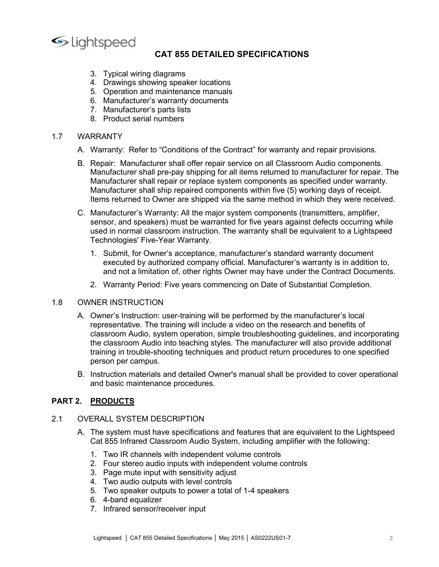

## CAT 855 DETAILED SPECIFICATIONS<br>diagrams<br>ming speaker locations<br>maintenance manuals<br>warranty documents 1<br>
1 Speed<br>
2 CAT 855 DETAILED SPECIFICATIONS<br>
3. Typical wiring diagrams<br>
4. Drawings showing speaker locations<br>
5. Operation and maintenance manuals<br>
6. Manufacturer's parts lists<br>
7. Manufacturer's parts lists<br>
8. Produ 1.<br>
1. Typical wiring diagrams<br>
4. Drawings showing speaker locations<br>
4. Drawings showing speaker locations<br>
5. Operation and maintenance manuals<br>
6. Manufacturer's warranty documents<br>
7. Manufacturer's parts lists<br>
8. Pr **CAT 855 DETAILED SPECIFICATIONS<br>3. Typical wiring diagrams<br>4. Drawings showing speaker locations<br>5. Operation and maintenance manuals<br>6. Manufacturer's warranty documents<br>7. Manufacturer's parts lists<br>8. Product serial nu**

- 
- 
- 
- 6. Manufacturer's warranty documents
- 
- 

- **CAT 855 DETAILED SPECIFICATIONS**<br>
3. Typical wiring diagrams<br>
4. Drawings showing speaker locations<br>
5. Operation and maintenance manuals<br>
6. Manufacturer's warranty documents<br>
7. Manufacturer's parts lists<br>
8. Product se **CAT 855 DETAILED SPECIFICATIONS<br>
CAT 855 DETAILED SPECIFICATIONS<br>
3. Typical wiring diagrams<br>
4. Drawings showing speaker locations<br>
5. Operation and maintenance manuals<br>
6. Manufacturer's parts lists<br>
8. Product serial n**
- **1.7** Units and the main terms of the main terms of the Manufacturer shall represent of the Manufacturer's warranty documents of the Manufacturer's parts lists<br>
1.7 WARRANTY<br>
1.7 WARRANTY<br>
1.7 WARRANTY A. Warranty: Refer t CONTIGN CONTRIGUTED SPECIFICATIONS<br>
3. Typical wiring diagrams<br>
4. Drawings showing speaker locations<br>
5. Operation and maintenance manuals<br>
6. Manufacturer's warranty documents<br>
7. Manufacturer's parats lists<br>
8. Product B. Repair: Manufacturer shall offer repair service on all Classroom Audio components. **CAT 855 DETAILED SPECIFICATIONS**<br>
3. Typical wiring diagrams<br>
4. Drawings showing speaker locations<br>
6. Operation and maintenance manuals<br>
6. Manufacturer's warranty documents<br>
7. Manufacturer's parts lists<br>
8. Product se **CAT 855 DETAILED SPECIFICATIONS**<br>
3. Typical wiring diagrams<br>
4. Drawings showing speaker locations<br>
6. Operation and maintenance manuals<br>
6. Manufacturer's paratrists<br>
8. Product serial numbers<br>
8. Product serial numbers **CAT 855 DETAILED SPECIFICATIONS**<br>
3. Typical wiring diagrams<br>
4. Drawings showing speaker locations<br>
5. Operation and maintenance manuals<br>
7. Manufacturer's warranty documents<br>
7. Manufacturer's parathistics<br>
8. Product s **CAT 855 DETAILED SPECIFICATIONS**<br>
3. Typical wiring diagrams<br>
4. Drawings showing speaker locations<br>
5. Operation and maintenance manuals<br>
6. Manufacturer's warranty documents<br>
7. Manufacturer's warranty documents<br>
RRANTY C. Manufacturer shall ship repaired for the warranty shall be equivalent to a Lightspeed<br>Technology and manufacturer's warranty documents<br>6. Manufacturer's warranty documents<br>7. Manufacturer's parts lists<br>8. Product serial **CAT 855 DETAILED SPECIFICATIONS**<br>
3. Typical wiring diagrams<br>
4. Drawings showing speaker locations<br>
5. Operation and maintenance manuals<br>
7. Manufacturer's warranty documents<br>
7. Manufacturer's pararsity documents<br>
8. Pr CAT 855 DETAILED SPECIFICATIONS<br>
3. Typical wiring diagrams<br>
4. Drawings showing speaker locations<br>
6. Manufacturer's warranty documents<br>
6. Manufacturer's warranty documents<br>
7. Manufacturer's parts lists<br>
8. Product seri CAT 855 DETAILED SPECIFICATIONS<br>
3. Typical wiring shapwing speaker locations<br>
4. Drawings showing speaker locations<br>
5. Operation and maintenance manuals<br>
6. Manufacturer's warranty documents<br>
7. Manufacturer's parts is<br> 3. Typical wiring diagrams<br>
4. Drawings showing speaker locations<br>
6. Operation and maintenance manuals<br>
7. Manufacturer's warranty documents<br>
7. Manufacturer's warranty documents<br>
RRANTY<br>
Warranty: Refer to "Conditions of Fypoar winny suage annot metallacter is warranty documents<br>Orawings showing speaker locations<br>Manufacturer's warranty documents<br>Manufacturer's warranty documents<br>Manufacturer's parts lists<br>Froduct serial numbers<br>in an inte Country of Depredion and maintenance manuals<br>
Manufacturer's warranty documents<br>
Manufacturer's warranty documents<br>
Manufacturer's parts lists<br>
Product serial numbers<br>
and: Manufacturer shall offer repair service on all Cl 6. Manufacturer's warranty documents<br>
7. Manufacturer's parathy documents<br>
8. Product serial numbers<br>
RRANTY<br>
Warranty: Refer to "Conditions of the Contract" for warranty and repair provisions.<br>
RRANTY<br>
Warranty: Refer to 8. Product serial numbers<br>
1.7 WARRANTY<br>
A. Warranty: Refer to "Conditions of the Contract" for warranty and repair pl<br>
B. Repair: Manufacturer shall offer repair service on all Classroom Audio compaints<br>
Manufacturer shal
	- -
		-

- WARRANTY<br>
A. Warranty: Refer to "Conditions of the Contract" for warranty and repair provisions.<br>
B. Repair: Manufacturer shall pre-pay shipping for all items returned to manufacturer for repair. The<br>
Manufacturer shall pr representative. Refer to "Conditions of the Contract" for warranty and repair provisions.<br>Repair: Manufacturer shall pre-pay shipping for all iterar service on all Classroom Audio components.<br>Repair: Manufacturer shall pre Warranty: Refer to "Conditions of the Contract" for warranty and repair provisions.<br>Repair: Manufacturer shall offer repair service on all Calssroom Audio components.<br>Manufacturer shall repairs prepiace system components a Repair: Manufacturer shall offer repair service on all Classroom Audio components.<br>Manufacturer shall pre-pay shipping for all literns returned to manufacturer for repair. The<br>Manufacturer shall ship repaired components wi Novan: "manufacturer shall pre-pay shipping for all tiems returned to manufacturer for repair. The<br>Manufacturer shall pre-pay shipping for all tiems returned to manufacturer for repair. The<br>Manufacturer shall repair or rep Manufacturer shall ship repair of the manufacturer shall repair or memberson to that and performation to the manufacturer shall repair or replace system components as specified under wandacturer shall ship repaired compone Manufacturer shall ship repaired components within five (5) working days of receipt.<br>
C. Manufacturer's Warranty: All the major system components (transmitters, amplifier,<br>
sensor, and speakers) must be warranted for five Items returned to Owner are shipped via the same method in which they were received.<br>
Manufacturer's Warranty: All the major system components (transmitters, amplifier,<br>
sensor, and speakers) must be warranted for five yea Sensor, and speakers) must be warranted for five years against defined and change of the sensor, and speakers) must be warranted for five years against defined and castroom instruction. The warranty shall be equival<br>Techno See Thionian Cassioon Intervention of the Warranty shan be equivalent to a cignisper<br>
Technologies' Five-Year Warranty.<br>
1. Submit, for Owner's acceptance, manufacturer's standard warranty document<br>
and not al limitation o 1. Submit, for Owner's acceptance, manufacturer's standard warranty document<br>executed by authorized company official. Manufacturer's warranty is in addition<br>to, and not a limitation of, other rights Owner may have under th Cat 855 Internation of the reactor of the rights and the secular of the contract the same transmit is in addition to,<br>and not a limitation of, other rights Owner may have under the Contract Documents.<br>2. Warranty Period: F and not a limitation of, other rights Owner may have under the Contract Documents.<br>
2. Warranty Period: Five years commencing on Date of Substantial Completion.<br>
NER INSTRUCTION<br>
CWmer's Instruction: user-training will be 2. Warranty Period: Five years commencing on Date of Substantial Completion.<br>
NER INSTRUCTION<br>
Owner's Instruction: user-training will be performed by the manufacturer's local<br>
representative. The training will include a v 2. Vientially Period. Five years commentary of Date of Substantial Completion.<br>
NER INSTRUCTION<br>
Owner's Instruction: user-training will include a video on the research and benefits of<br>
classroom Audio into teaching styles NER INSTRUCTION<br>
Owner's Instruction: user-training will be performed by the manufacturer's local<br>
representative. The training will include a video on the research and benefits of<br>
relassroom Audio, system operation, simp Fract more transformation: user-training will be performed by the manufacturer's local<br>representative. The training will include a video on the research and benefits of<br>cleasivoom Audio into teaching styles. The manufactur Owner's Instruction: user-training will be performed by the manufacturer's local<br>representative. The training will include a video on the research and benefits of<br>classroom Audio, system operation, simple troubleshooting g representative. The training will include a video on the research and benefits of<br>classroom Audio, system operation, simple troubleshooting guidelines, and incorporating<br>the classroom Audio into teaching styles. The manufa
	- Training in trouble-shooting techniques and product return procedures to one specified<br>version per campus.<br>
	Instruction materials and detailed Owner's manual shall be provided to cover operational<br>
	May the system must hav

- -
	-
	-
	-
	-
	-
	-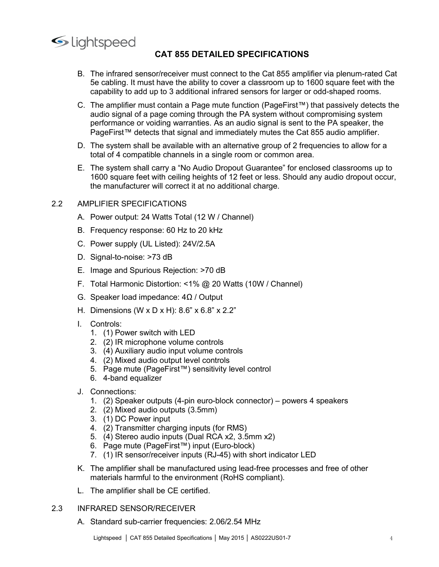

- CAT 855 DETAILED SPECIFICATIONS<br>or/receiver must connect to the Cat 855 amplifier via plenum-rated Cat<br>have the ability to cover a classroom up to 1600 square feet with the<br>p to 3 additional infrared sensors for larger or  $\footnotesize$ CAT 855 DETAILED SPECIFICATIONS<br>
B. The infrared sensor/receiver must connect to the Cat 855 amplifier via plenum-rated Cat<br>
5e cabling. It must have the ability to cover a classroom up to 1600 square feet with the<br>
- 1 **CAT 855 DETAILED SPECIFICATIONS**<br>
The infrared sensor/receiver must connect to the Cat 855 amplifier via plenum-rated Cat<br>
5e cabling. It must have the ability to cover a classroom up to 1600 square feet with the<br>
capa CAT 855 DETAILED SPECIFICATIONS<br>The infrared sensor/receiver must connect to the Cat 855 amplifier via plenum-rated Cat<br>5e cabling. It must have the ability to cover a classroom up to 1600 square feet with the<br>capability C. The amplifier must contain a Page mute function (PageFirst™) that passively detects the **all the model of a page coming to signal of a page compromision of a page compression of a page compression of a page coming through the expability to add up to 3 additional infrared sensors for larger or odd-shaped room CAT 855 DETAILED SPECIFICATIONS**<br>The infrared sensor/receiver must connect to the Cat 855 amplifier via plenum-rated Cat<br>5e cabling. It must have the ability to cover a classroom up to 1600 square feet with the<br>capabilit **PageFirst ™ detects that signal and immediately mutes that signal and immediately detects the capability to add up to 3 additional infrared sensors for larger or odd-shaped rooms.<br>The amplifier must have the ability to c** CONTIDENTIAN CONTRIGATIONS<br>
B. The infrared sensor/receiver must connect to the Cat 855 amplifier via plenum-rated Cat<br>
be cabling, it must have the ability to add up to 3 additional infrared sensors for larger or odd-sha The infrared sensor/receiver must connect to the Cat 855 amplifier via plenum-rated Cat 5e cabling. It must have the ability to cover a classroom up to 1600 square feet with the capability to add up to 3 additional infrar CONTIGNT CONTIGNT CONTIGNT CONTIGNT CONTIGNT CONTIGNT CONTIGNT TO SECUTE THE SECUTE THE SECUTE THE CARRY AND CONTIGNT CONTIGNT CONTIGNT CONTIGNT CONTIGNT CONTIGNT CONTIGNT CONTIGNT CONTIGNT CONTIGNT CONTIGNT CONTIGNT CONT **1600 square feet with ceiling heights of 12 feet or less. Should any audio dropout PUE FIGEN SPONG PUE THERE SPONGE THERE AND SQUARE THE APPOSE CONDING THE APPOSE CONDING THE APPOSE CONDING THE APPOSE CONDING AN ANGLE CO** The infrared sensor/receiver must connect to the Cat 855 amplifier via plenum-rated Cat Se cabiling. It must have the ability to cover a classroom up to 1600 square feet with the capability to ad up to 3 additional infrare **Example 12.2**<br> **2.2 AMPLIFIER SPECIFICATIONS**<br> **2.2 AMPLIFIER SPECIFICATIONS**<br> **2.2 2.2 En infrared sensor/receiver must connect to the Cat 855 amplifier via plenu**<br>
5 **e** cabiling. It must have the ability to cove Ightspeeck<br> **CAT 855 DETAILED SPECIFICATIONS**<br>
B. The infrared sensor/receiver must connect to the Cat 855 amplifier via plenum-rated Cat<br>
Se cabiling. It must have the ability to cover a classroom up to 1600 square feet CAT 855 DETAILED SPECIFICATIONS<br>
B. The infrared sensor/receiver must connect to the Cat 855 amplifier via plenum-rated Cat<br>
Se cabiling. It must have the ability to cover a classroom up to 1600 square feet with the<br>
capa B. The infrared sensor/receiver must connect to the Cat 855 amplifier via plenum-rated Cat<br>
Se cabiling. It must have the ability to cover a classroom up to 1600 square feet with the<br>
capability to add up to 3 additional B. The infrared sensor/receiver must connect to the Cat 855 amplifier via plenum-rated Cat Se cabling. It must have the ability to cover a classroom up to 1600 square feet with the capitality to add up to 3 ddditional inf be cannot the analytical of a paper of constrained the solutional infrared sensors for larger or odd-shaped rooms.<br>
C. The amplifier must contain a Page mute function (PageFirst<sup>TM</sup>) that passively detects the and of a pa C. The amplifier must contain a Page mute function (PageFirst<sup>TM</sup>) that passively detects the<br>audio signal of a page coming through the PA system without componising system<br>performance or voiding warranties. As an audio s audio signal of a page coming through the PA system without compromising system<br>performance or voiding warranties. As an audio signal is sent to the PA speaker, the<br>PageFirst<sup>™</sup> detects that signal and immediately mutes t
	-
	- PageFirst<sup>mu</sup> detects that signal and immediately mutes the Cat 855 audio amplifier.<br>
	D. The system shall be available with an alternative group of 2 frequencies to allow for a<br>
	total of 4 compatible channels in a single D. The system shall be available with an alternative group of 2 frequential of 4 compatible channels in a single room or common area.<br>
	E. The system shall carry a "No Audio Dropout Guarantee" for enclose<br>
	1600 square feet The system Shall de avalable channels in a single room or common area.<br>
	The system shall carry a "No Audio Dropout Guarantee" for enclosed classrooms up to<br>
	The system shall carry a "No Audio Dropout Guarantee" for enclose ouar or 4 compatible criatines in a single pount of common area.<br>The system shall carry a "No Audio Dropout Gurantee" for enclosed classrooms up to<br>1600 square feet with celling heights of 12 feet or less. Should any audi The system shall carry a "No Audio Dropout Guarantee" for enclosed classrooms up to 160 aquare feet with celling heights of 12 feet or tess. Should any audio dropout occur, the manufacturer will correct it at no additional 1600 square feet with celling heights of 12 feet or less. Should any audio dropout occur,<br>the manufacturer will correct it at no additional charge.<br>PLIFIER SPECIFICATIONS<br>Frequency response: 60 Hz to 20 kHz<br>Frequency respo the manufacturer will correct it at no additional charge.<br>PLIFIER SPECIFICATIONS<br>Power output: 24 Watts Total (12 W / Channel)<br>Frequency response: 60 Hz to 20 kHz<br>Signal-to-noise: >73 dB<br>Signal-to-noise: >73 dB<br>Image and
- -
	-
	-
	-
	-
	- A. Power output: 24 Watts Total (12 W / Channel)<br>
	B. Frequency response: 60 Hz to 20 kHz<br>
	C. Power supply (UL Listed): 24V/2.5A<br>
	D. Signal-to-noise: >73 dB<br>
	E. Image and Spurious Rejection: >70 dB<br>
	F. Total Harmonic Disto
	-
	-
	- -
		-
		-
		-
		-
		-
	-
- PLIFIER SPECIFICATIONS<br>
Power output: 24 Watts Total (12 W / Channel)<br>
Frequency response: 60 Hz to 20 kHz<br>
Power supply (UL Listed): 24V/2.5A<br>
Signal-to-noise: >73 dB<br>
Image and Spurious Rejection: >70 dB<br>
Total Harmonic Power output: 24 Watts Total (12 W / Channel)<br>Frequency response: 60 Hz to 20 kHz<br>Power supply (UL Listed): 24V/2.5A<br>Signal-to-noise: >73 dB<br>Image and Spurious Rejection: >70 dB<br>Total Harmonic Distortion: <1% @ 20 Watts (1 Frequency response: 60 Hz to 20 kHz<br>
Power supply (UL Listed): 24V/2.5A<br>
Signal-to-noise: >73 dB<br>
Ilmage and Spurious Rejection: >70 dB<br>
Total Harmonic Distortion: <1% @ 20 Watts (10W / Channel)<br>
Speaker load impedance: 4Ω Trequency Tesponse: oo the 202 kHz<br>
Bignal-to-noise: >73 dB<br>
Signal-to-noise: >73 dB<br>
Image and Spurious Rejection: >70 dB<br>
Total Harmonic Distortion: <1% @ 20 Watts (10W / Channel)<br>
Speaker load impedance: 4Ω / Output<br>
Di
	-
	-
	-
	-
	-
	-
- Lightspeed │ CAT 855 Detailed Specifications │ May 2015 │ AS0222US01-7 455 Detailed Specifications │ CAL 855 Detailed CONDIC CONDICT CONDICT A USE CONDICT CONDICT CONDICT CONDICT CONDICT CONDICT CONDICT CONDICT CONDICT CO Power supply (UL Listed): 24V/2.5A<br>
Signal-to-noise: >73 dB<br>
Image and Spurious Rejection: >70 dB<br>
Total Harmonic Distortion: <1% @ 20 Watts (10W / Channel)<br>
Speaker load impedance: 4Ω / Output<br>
Dimensions (W x D x H): 8.8 Signal-to-noise: >73 dB<br>
Image and Spurious Rejection: >70 dB<br>
Total Harmonic Distortion: <1% @ 20 Watts (10W / Channel)<br>
Speaker load impedance: 4Ω / Output<br>
Dimensions (W x D x H): 8.6" x 6.8" x 2.2"<br>
Controls:<br>
2. (2) I ogivari or oncoce - ro occocertic stepsection: >70 dB<br>Image and Spurious Rejection: >70 dB<br>Total Harmonic Distortion: <1% @ 20 Watts (10W / Channel)<br>Speaker load impedance: 4Ω / Output<br>Dimensions (W x D x H): 8.6" x 6.8" Image and Spurious Rejection: >70 dB<br>
Total Harmonic Distortion: <1% @ 20 Watts (10W / Channel)<br>
Speaker load impedance: 4Ω / Output<br>
Dimensions (W x D x H): 8.6" x 6.8" x 2.2"<br>
Controls:<br>
2. (2) IR microphone volume contr F. Total Harmonic Distortion:  $\leq 1\%$  @ 20 Watts (10W / Channel)<br>
G. Speaker load impedance:  $4\Omega$  / Output<br>
H. Dimensions (W x D x H): 8.6" x 6.8" x 2.2"<br>
1. Controls:<br>
2. (2) IR microphone volume controls<br>
3. (4) Auxi Speaker load impedance: 4Q / Output<br>Dimensions (W x D x H): 8.6" x 6.8" x 2.2"<br>Controls:<br>1. (1) Power switch with LED<br>2. (2) IR microphone volume controls<br>4. (2) Akadiaky audio input velume controls<br>6. 4-band equalizer<br>6. H. Dimensions (W x D x H): 8.6" x 6.8" x 2.2"<br>
1. Controls:<br>
2. (2) IR microphone volume controls<br>
3. (4) Auxiliary audio input level controls<br>
3. (4) Auxiliary audio input level controls<br>
4. (2) Nixel audio input level c 1. Controls:<br>
2. (2) IR microphone volume controls<br>
3. (4) Auxiliary audio input volume controls<br>
4. (2) Mixed audio output level controls<br>
4. (2) Mixed audio output level controls<br>
5. Page mute (PageFirst<sup>TM</sup>) sensitivity 2. (2) IR microphone volume controls<br>
3. (4) Auxiliary audio input volume controls<br>
4. (2) Mixed audio output level controls<br>
5. Fage mute (PageFirst<sup>Tn4</sup>) sensitivity level control<br>
6. 4-band equalizer<br>
4. Connections:<br>
	-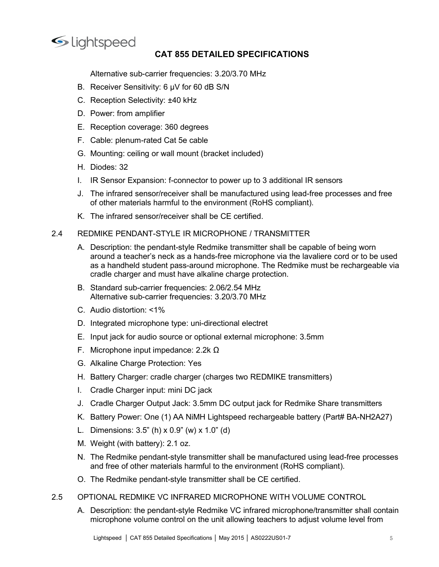

## **CAT 855 DETAILED SPECIFICATIONS**<br>Trier frequencies: 3.20/3.70 MHz<br>y: 6 μV for 60 dB S/N<br>itv: +40 kHz 1<br>
Speed<br>
CAT 855 DETAILED SPECIFICATIONS<br>
Alternative sub-carrier frequencies: 3.20/3.70 MHz<br>
Receiver Sensitivity: 6 µV for 60 dB S/N<br>
Reception Selectivity: ±40 kHz<br>
Power: from amplifier Supposed<br>
Supposed<br>
CAT 855 DETAILED SPECIFICATIONS<br>
Alternative sub-carrier frequencies: 3.20/3.70 MHz<br>
B. Receiver Sensitivity: 6 µV for 60 dB S/N<br>
C. Reception Selectivity: ±40 kHz<br>
D. Power: from amplifier<br>
E. Receptio ightspeed<br>
CAT 855 DETAILED SPECIFICATIONS<br>
Alternative sub-carrier frequencies: 3.20/3.70 MHz<br>
B. Receiver Sensitivity: 6 µV for 60 dB S/N<br>
C. Reception Selectivity: ±40 kHz<br>
D. Power: from amplifier<br>
E. Reception coverag

- 
- 
- 
- 
- 
- Sum the Section Control Care of the Section Specific Care of Care Statemative sub-carrier frequencies: 3.20/3.70 MHz<br>
D. Receiver Sensitivity: 6 µV for 60 dB S/N<br>
C. Reception Selectivity: ±40 kHz<br>
D. Power: from amplifier Sumple Contributed Contributed CAT 855 DETAILED SPECIFICATIONS<br>
Alternative sub-carrier frequencies: 3.20/3.70 MHz<br>
B. Receiver Sensitivity: 6 µV for 60 dB S/N<br>
C. Reception Selectivity: ±40 kHz<br>
D. Power: from amplifier<br>
- 
- Sample Control Carl 1955 DETAILED SPECIFICATIONS<br>
Alternative sub-carrier frequencies: 3.20/3.70 MHz<br>
B. Receiver Sensitivity: 6 μV for 60 dB S/N<br>
C. Reception Selectivity: ±40 kHz<br>
D. Power: from amplifier<br>
E. Reception
- CAT 855 DETAILED SPECIFICATIONS<br>
Alternative sub-carrier frequencies: 3.20/3.70 MHz<br>
B. Receiver Sensitivity: 6 µV for 60 dB S/N<br>
C. Reception Selectivity: ±40 kHz<br>
E. Reception coverage: 360 degrees<br>
F. Cable: plenum-rate Sample Controller and the environment (Rev. 2013)<br>
Meternative sub-carrier frequencies: 3.20/3.70 MHz<br>
B. Receiver Sensitivity: 6 µV for 60 dB S/N<br>
C. Reception Selectivity: ±40 kHz<br>
D. Power: from amplifier<br>
E. Reception Ight'speed<br>
CAT 855 DETAILED SPECIFICATIONS<br>
Alternative sub-carrier frequencies: 3.20/3.70 MHz<br>
B. Receiver Sensitivity: 6 µV for 60 dB S/N<br>
C. Reception Selectivity: ±40 kHz<br>
D. Power: from amplifier<br>
E. Reception covera Sometrical Control Control Control Control Control Control Control Control C.<br>
S. Receiver Sensitivity: 6 pV for 60 dB S/N<br>
C. Receiption Selectivity: ±40 kHz<br>
D. Power: from amplifier<br>
E. Reception coverage: 360 degrees<br> **CAT 855 DETAILED SPECIFICATIONS**<br> **CAT 855 DETAILED SPECIFICATIONS**<br>
Alternative sub-carrier frequencies: 3.20/3.70 MHz<br>
Receiver Sensitivity:  $\pm 40$  kHz<br>
Power: from amplifier<br>
Reception coverage: 360 degrees<br>
Cable: pe
- 

- Sample Controller Controllers and the lavaliere order of the lavalier of the infrared sensor<br>
K. Receiver Sensitivity: 6 µV for 60 dB S/N<br>
C. Reception Selectivity: ±40 kHz<br>
D. Power: from amplifier<br>
E. Reception coverage: CAT 855 DETAILED SPECIFICATIONS<br>
2.4 Receiver Sensitivity: 6 µV for 60 dB S/N<br>
2. Receiver Sensitivity: 6 µV for 60 dB S/N<br>
2. Reception Selectivity: ±40 kHz<br>
2. D. Power: from amplifier<br>
E. Reception coverage: 360 degree Alternative sub-carrier frequencies: 3.20/3.70 MHz<br>
B. Receiver Sensitivity: 6 µV for 60 dB S/N<br>
C. Reception Selectivity: ±40 kHz<br>
D. Power: from amplifier<br>
E. Reception coverage: 360 degrees<br>
F. Cable: plenum-rated Cat 5 Alternative sub-carrier frequencies: 3.20/3.70 MHz<br>Reception Selectivity: 6 µV for 60 dB S/N<br>Power: from amplifier<br>Power: from amplifier<br>Reception coverage: 360 degrees<br>Cable: plenum-rated Cat 5e cable<br>Mounting: ceiling or Receiver Sensitivity: 6 µV for 60 dB S/N<br>Reception Selectivity: ±40 kHz<br>Power: from amplifier<br>Reception coverage: 360 degrees<br>Mounting: ceiling or wall mount (bracket included)<br>Diodes: 32<br>IR Sensor Expansion: f-connector t Reception Selectivity: ±40 kHz<br>Reception Selectivity: ±40 kHz<br>Power: from amplifier<br>Reception coverage: 360 degrees<br>Cable: plenum-rated Cat 5e cable<br>Mounting: ceiling or wall mount (bracket included)<br>Diodes: 32<br>The infrare C. Reception Setelation, 240 KHz<br>
B. Power: from amplifier<br>
E. Reception coverage: 360 degrees<br>
F. Cable: plenum-rated Cat Se cable<br>
G. Mounting: ceiling or wall mount (bracket included)<br>
H. Diodes: 32<br>
I. IR Sensor Expans Power: from amplifier<br>Reception coverage: 360 degrees<br>Cable: plenum-rated Cat 5e cable<br>Mounting: ceiling or wall mount (bracket included)<br>Diodes: 32<br>IR Sensor Expansion: f-connector to power up to 3 additional IR sensors<br>T E. Reception coverage: 360 degrees<br>
F. Cable: plenum-rated Cat 5e cable<br>
G. Mounting: ceiling or wall mount (bracket included)<br>
H. Diodes: 32<br>
I. R. Sensor Expansion: f-connector to power up to 3 additional IR sensors<br>
J. F. Cable: plenum-rated Cat 5e cable<br>
G. Mounting: celling or wall mount (bracket included)<br>
H. Diodss: 32<br>
I. IR Sensor Expansion: f-connector to power up to 3 additional IR sensors<br>
J. The infrared sensor/receiver shall b G. Mounting: celling or wall mount (bracket included)<br>
H. Diodes: 32<br>
U. TR Sensor Expansion: f-connector to power up to 3 additional IR sensors<br>
J. The infrared sensor/receiver shall be manufactured using lead-free proce H. Diodes: 32<br>
I. IR Sensor Expansion: f-connector to power up to 3 additional IR sensors<br>
I. The infrared sensor/receiver shall be manufactured using lead-free processes and free<br>
of other materials harmful to the envir I. IR Sensor Expansion: f-connector to power up to 3 additional IR sensors<br>
J. The infrared sensor/receiver shall be manufactured using lead-free processes and free<br>
of other materials harmful to the lenvironment (RoHS co J. The infrared sensor/receiver shall be manufactured using lead-free processes and free<br>
of other materials harmful to the environment (RoHS compliant).<br>
K. The infrared sensor/receiver shall be CE certified.<br>
REDMIKE P I. Cradie Charger infunction the entimomentarism controllering (του is complimate).<br>
I. The infrared sensitive Server shall be CE certified.<br>
A. Description: the pendant-style Redmike transmitter shall be capable of being R. The initiated sensof econe strain be CE certified.<br>
REDMIKE PENDANT-STYLE IR MICROPHONE / TRANSMITTER<br>
A. Description: the pendant-skyle Redmike transmitter shall be capable of being worn<br>
around a teacher's neck as a REDMIKE PENDANT-STYLE IR MICROPHONE / TRANSMITTER<br>
A. Description: the pendant-style Redhik tensmitter shall be capable of being worn<br>
around a teacher's neck as a hands-free microphone via the lavaliere cord or to be used A. Description: the pendant-style Redmike transmitter shall be capable of being worm<br>around a teacher's neck as a hands-free microphone via the lavaliere cord or to be used<br>as a handheld student pass-around microphone. The and a eachier sheet. as a liains-inter iniculpinole val are available to the diversion and a candle shadled student pass-around microphone. The Redmike must be rechargeable via<br>cradle charger and must have alkaline charge
	-
	-
	-
	-
	-
	-
	-
	-
	-
	-
	-
	-
- Lightspeed │ CAT 855 Detailed Specifications │ May 2015 │ AS0222US01-7 <sup>5</sup> cradle charger and must have alkaline charge protection.<br>
B. Standard sub-carrier frequencies: 2.06/2.54 MHz<br>
C. Audio distortion: <1%<br>
D. Integrated microphone type: uni-directional electret<br>
E. Input jack for audio sour Standard sub-carrier frequencies: 2.06/2.54 MHz<br>Alternative sub-carrier frequencies: 3.20/3.70 MHz<br>Alternative sub-carrier frequencies: 3.20/3.70 MHz<br>Integrated microphone type: uni-directional electret<br>Input jack for aud Alternative sub-carrier frequencies: 3.20/3.70 MHz<br>
C. Audio distortion: <1%<br>
D. Integrated microphone type: uni-directional electret<br>
E. Input jack for audio source or optional external microphone: 3.5mm<br>
F. Microphone in 2.5 And of distribution of the method of the unit of the method in the method in the prediction of the processes of the performance: 2.2k Ω<br>
2. Alkaline Charge Protection: Yes<br>
H. Battery Charger: cradie charger (charges D. Integrated microphone type: uni-unectional electric<br>
E. Input jack for autio source or potional external microphone: 3.5mm<br>
F. Microphone input impedance: 2.2k Q.<br>
C. Alkaline Charger Protection: Yes<br>
H. Battery Charger Input jack for audio source or optional external microphone: 3.5mm<br>Microphone input impedance: 2.2k Ω<br>Alkaline Charger: cradele charger (charges two REDMIKE transmitters)<br>Cradle Charger: cradele charger (charges two REDM
	-
- -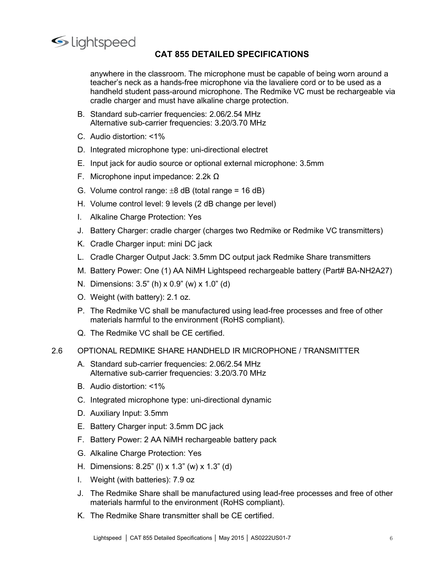

CAT 855 DETAILED SPECIFICATIONS<br>assroom. The microphone must be capable of being worn around a<br>a hands-free microphone via the lavaliere cord or to be used as a<br>pass-around microphone. The Redmike VC must be rechargeable v 1/1399<br> **CAT 855 DETAILED SPECIFICATIONS**<br>
anywhere in the classroom. The microphone must be capable of being worn around a<br>
teacher's neck as a hands-free microphone via the lavaliere cord or to be used as a<br>
handheld stu the correct as a hands-free microphone must be capable of being worn around a<br>teacher's neck as a hands-free microphone wia the lavaliere cord or to be used as a<br>handheld student pass-around microphone. The Redmike VC must **CAT 855 DETAILED SPECIFICATIONS**<br>
anywhere in the classroom. The microphone must be capable of being worn around a<br>
teacher's neck as a hands-free microphone via the lavaliere cord or to be used as a<br>
brandheld student pa **CAT 855 DETAILED SPECIFICATIONS**<br>
anywhere in the classroom. The microphone must be capable of being worn around a<br>
teacher's neck as a hands-free microphone via the lavaliere cord or to be used as a<br>
handheld student pas Sub-completed<br>
Sub-carrier of AT 855 DETAILED SPECIFICATIONS<br>
Anywhere in the classroom. The microphone must be capable of being worn around a<br>
teacher's neck as a hands-free microphone via the lavaliere cord or to be used 1 Alternative in the classroom. The microphone must be capable of being worn around a teacher's neck as a hands-free microphone wia the lavaliere cord or to be used as a handshed student pass-around microphone. The Redmike CAT 855 DETAILED SPECIFICATIONS<br>
anywhere in the classroom. The microphone must be capable of being worn around<br>
teacher's neck as a hands-free microphone via the lavaliere cord or to be used as a<br>
handheld student pass-a CAT 855 DETAILED SPECIFICATIONS<br>
anywhere in the classroom. The microphone must be capable of being worn around a<br>
teacher's neck as a hands-free microphone via the lavaliere cord or to be used as a<br>
handheld student pass E. Input jack for audio source or optional external microphone pair effects or observed as a hand-free microphone via the lavaliere cord or to be used as a handed student pass-around microphone. The Redmike VC must be rec Examples and the classroom. The microphone must be capable of being worn around a teacher's neck as a hands-free microphone via the lavaliere cord or to be used as a handed student pass-around microphone. The Redmike VC m CAT 855 DETAILED SPECIFICATIONS<br>
anywhere in the classroom. The microphone must be capable of being worn around a<br>
teacher's neck as a hands-free microphone wai the lavalitere cord or to be used as a<br>
handfield student pa ightspeecd<br>
CAT 855 DETAILED SPECIFICATIONS<br>
anywhere in the classroom. The microphone must be capable of being worn around a<br>
teacher's neck as a hands-free microphone wai the lavalitere cord or to be used as a<br>
handheld Ightspeed<br> **CAT 855 DETAILED SPECIFICATIONS**<br>
anywhere in the classroom. The microphone must be capable of being worn around a<br>
teacher's neck as a hands-free microphone via the lavaliere cord or to be used as a<br>
crade c CAT 855 DETAILED SPECIFICATIONS<br>
anywhere in the classroom. The microphone must be capable of being worn around a<br>
teacher's neck as a hands-free microphone. The Redmike VC must be rechargeable via<br>
analheld student passanywhere in the classroom. The microphone must be capable of being worn around a<br>teacher's neck as a hands-free microphone wia the lavaliere cord or to be used as a<br>handheld student pass-around microphone. The Redmike VC anywhere in the classroom. The microphone must be capable of being wom around a<br>teacher's neck as a hands-free microphone via the lavaliere cord or to be used as a<br>handheld student pass-around microphone. The Redmike VC mu itexants in exists as a manuscrime implopione. The Redmike VC must be rechargeable via<br>tradite charger and must have alkaline charge protection.<br>Alternative sub-carrier frequencies:  $3.20/3.70 \text{ MHz}$ <br>C. Audio distortion: <1

- 
- 
- 
- 
- 
- 
- 
- 
- 
- 
- 
- 
- 
- 
- cradle charger and must have alkaline charge protection.<br>
B. Stinadard sub-carrier frequencies: 2.06/2.54 MHz<br>
C. Audio distortion: <1%<br>
D. Integrated microphone type: uni-directional electret<br>
E. Input jack for audio sou B. Standard sub-carrier frequencies: 2.06/2.54 MHz<br>
Alternative sub-carrier frequencies: 3.20/3.70 MHz<br>
C. Audio distortion: <1%<br>
D. Integrated microphone type: uni-directional electret<br>
E. Input jack for audio source or Redmike sub-canner inequencies. 3.20/370 MPZ<br>
C. Audio distortion: <1%<br>
D. Integrated microphone type: uni-directional electret<br>
E. Input jack for audio source or optional external microphone: 3.5mm<br>
F. Microphone input i Audio distortion: <1%<br>Integrated microphone type: uni-directional electret<br>Input jack for audio source or optional external microphone: 3.5mm<br>Microphone input impedance: 2.2k  $\Omega$ <br>Volume control level: 9 levels (2 dB chang D. Integrated microphone type: uni-directional electret<br>
E. Input jack for audio source or optional external microphone: 3.5mm<br>
G. Victorphone input impedance: 2.2k  $\Omega$ <br>
G. Volume control lavel: 9 levels (2 dB change per E. Interophone input impedance: 2.2k Q<br>
2. Microphone input impedance: 2.2k Q<br>
3. Volume control lavel: 9 levels (2 dB change per level)<br>
1. Alkaline Charge Protection: Yes<br>
3. Battery Charger: cradle charger (charges two F. Initial provide in protections (2.2.4 MHz)<br>
A. Volume control range: 28 dB (total range = 16 dB)<br>
H. Volume control range: 28 dB (total range = 16 dB)<br>
1. Alkaline Charger routein. Yes<br>
3. Battery Charger: cradle charge Volume control range: ±8 dB (total range = 16 dB)<br>
Volume control level: 9 levels (2 dB change per level)<br>
Alktaline Charge Protection: Yes<br>
Battery Charger: cradle charger (charges two Redmike or Redmike VC transmitters)<br> H. Volume control level: 9 levels (2 dB change per level)<br>
1. Alkaline Charge Protection: Yes<br>
3. Battery Charger: cradle charger (charges two Redmike or Redmike VC transmitters)<br>
1. Cradle Charger input: mini DC jack<br>
1. 1. Alkaline Charge Protection: Yes<br>
2. Battery Charger: cradle charger (charges two Redmike or Redmike VC transmitters)<br>
K. Cradle Charger ipuput. mini DC jack<br>
L. Cradle Charger Dutput Jack: 3.5mm DC output jack Redmike S J. Battery Charger: cradle charger (charges two Redmike or Redmike VC transmitters<br>
K. Cradle Charger input: mini DC jack<br>
L. Cradle Charger Dutput Jack: 3.5mm DC output jack Redmike Share transmitters<br>
M. Battery Power: K. Cradle Charger input: mini DC jack<br>
L. Cradle Charger Output Jack: 3.5mm DC output jack Redmike Share transmitters<br>
M. Battery Power: One (1) AA NiMH Lightspeed rechargeable battery (Part# BA-NH2A27)<br>
N. Dimensions: 3.5 L. Cradle Charger Output Jack: 3.5mm DC output jack Redmike Share transmitters<br>
M. Battery Power: One (1) AA NiMH Lightspeed rechargeable battery (Part# BA-NH2A27)<br>
N. Dimensions: 3.5" (h) x 0.9" (w) x 1.0" (d)<br>
O. Weight M. Battery Power: One (1) AA NiMH Lightspeed rechargeable battery (Part# BA-NH2A27)<br>
N. Dimensions: 3.5" (h) x 0.9" (w) x 1.0" (d)<br>
O. Weight (with battery): 2.1 oz.<br>
P. The Redmike VC shall be manufactured using lead-free
	-

- 
- 
- 
- 
- 
- 
- 
- 
- 
- IONAL REDIMIRE SHARE HANDHELD IR MICROPHONE / IRANSMITTER<br>Standard sub-carrier frequencies: 3.06/2.54 MHz<br>Materative sub-carrier frequencies: 3.200.70 MHz<br>widio distortion: <1%<br>megrated microphone type: uni-directional dy N. Dimensions: 3.5" (h) x 0.9" (w) x 1.0" (d)<br>
O. Weight (with battery): 2.1 oz.<br>
P. The Redmike VC shall be manufactured using lead-free processes and free of other<br>
P. The Redmike VC shall be notic connect (RoHS complian O. Weight (with battery): 2.1 oz.<br>
P. The Redmike VC shall be manufactured using lead-free processes and free of other<br>
materials harmful to the environment (RoHS compliant).<br>
O. The Redmike VC shall be CE certified.<br>
OPTI P. The Redmike VC shall be manufactured using lead-free processes and free of other<br>
materials harmful to the environment (RoHS compliant).<br>
Q. The Redmike VC shall be CE certified.<br>
OPTIONAL REDMIKE SHARE HANDHELD IR MICR materials harmful to the environment (RoHS compliant).<br>
The Redmike VC shall be CE certified.<br>
ITONAL REDMIKE SHARE HANDHELD IR MICROPHONE / TRANSMITTER<br>
Standard sub-carrier frequencies: 2.06/2.54 MHz<br>
Alternative sub-car Q. The Redmike VC shall be CE certified.<br>
OPTIONAL REDMIKE SHARE HANDHELD IR MICROPHONE / TRANSMITTER<br>
A. Standard sub-carrier frequencies: 2.06/2.54 MHz<br>
Alternative sub-carrier frequencies: 2.06/2.54 MHz<br>
B. Audio distor
-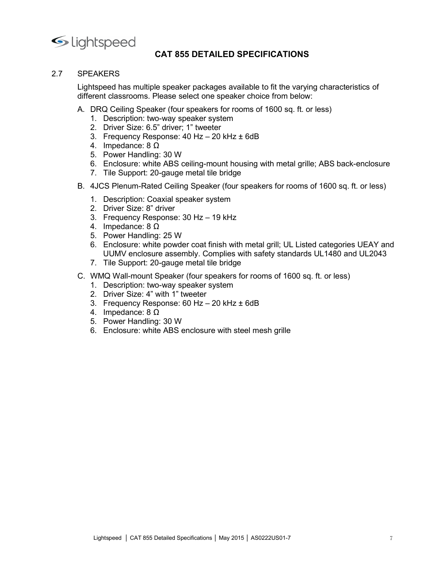

CAT 855 DETAILED SPECIFICATIONS<br>le speaker packages available to fit the varying characteristics of<br>Please select one speaker choice from below: ●<br>
2.7 SPEAKERS<br>
Lightspeed has multiple speaker packages available to fit the varyin<br>
different classrooms. Please select one speaker choice from below:<br>
A. DRQ Ceiling Speaker (four speakers for rooms of 1600 sq. ft. or Lightspeed<br> **CAT 855 DETAILED SPECIFICATIONS**<br>
SPEAKERS<br>
Lightspeed has multiple speaker packages available to fit the varying characteristics of<br>
different classrooms. Please select one speaker choice from below:<br>
A. DRQ SPEAKERS<br>
SPEAKERS<br>
Lightspeed has multiple speaker packages available to fit the varying characteristics of<br>
different classrooms. Please select one speaker choice from below:<br>
A. DRQ Ceiling Speaker (four speakers for ro 1. Speed<br>
CAT 855 DETAILED SPECIFICATIONS<br>
EAKERS<br>
Inspeed has multiple speaker packages available to fit the varying characteristics of<br>
premit classrooms. Please select one speaker choice from below:<br>
DRQ Ceiling Speake 12. Driver Size: 6.5" DETAILED SPECIFICATIONS<br>2. EAKERS<br>2. EAKERS<br>2. This present classrooms. Please select one speaker choice from below:<br>2. Driver Size: 6.5" driver; 1" tweeter<br>2. Driver Size: 6.5" driver; 1" tweeter<br>2. 12. The Separator CAT **CAT 855 DETAILED SPECIFICATIONS**<br>3. FAKERS<br>3. AMERIS Also an anothiple speaker packages available to fit the varying characteristics of<br>1. Description: two-way speaker speaker choice from below:<br>1. D 1<br>
Speed<br>
CAT 855 DETAILED SPECIFICATIONS<br>
EAKERS<br>
Inspeed has multiple speaker packages available to fit the varying characteristics of<br>
rent classrooms. Please select one speaker choice from below:<br>
DRQ Ceiling Speaker **CAT 855 DETAILED SPECIFICATIONS**<br>EAKERS<br>EAKERS<br>Inspected has multiple speaker packages available to fit the varying characteristics of<br>pred clastrooms. Please select one speaker choice from below:<br>DRQ Ceiling Speaker (fou 12. The Support: 20-gauge metal tile bridge incomes of 1600 sq. ft. or less)<br>The Support Cass of the metal tiple speaker packages available to fit the varying characteristics of<br>the Support Cass of the Support: We way spea ightspeed<br>
CAT 855 DETAILED SPECIFICATIONS<br>
SPEAKERS<br>
Lightspeed has multiple speaker packages available to fit the varying characteristics of<br>
different classrooms. Please select one speaker choice from below:<br>
A. DRO Ce 1. Speed<br>
1. CAT 855 DETAILED SPECIFICATIONS<br>
EAKERS<br>
Interest cases will be packer packages available to fit the varying characteristics of<br>
1. DRG Ceiling Speaker (four speakers for rooms of 1600 sq. ft. or less)<br>
1. Des **CAT 855 DETAILED SPECIFICATIONS**<br> **CAT 855 DETAILED SPECIFICATIONS**<br>
EAKERS<br>
Inspected has multiple speaker packages available to fit the varying characteristics of<br>
DRQ Ceiling Speaker (four speaker system<br>
1. Descriptio

- A. DRQ Ceiling Speaker (four speakers for rooms of 1600 sq. ft. or less)
	-
	-
	-
	-
	- 5. Power Handling: 30 W
	-
	-
- -
	-
	-
	- 4. Impedance: 8 Ω
	-
- **CAT 855 DETAILED SPECIFICATIONS**<br>
EAKERS<br>
SEAKERS<br>
SEAKERS<br>
SEAKERS<br>
ISSENCING SEARC (four speaker packages available to fit the varying characteristics of<br>
DRO Ceiling Speaker (four speakers for rooms of 1600 sq. ft. or **CAT 855 DETAILED SPECIFICATIONS**<br> **CAKERS**<br>
Interaction and the straighter packages available to fit the varying characteristics of<br>
pred Ceiling Speaker (four speakers for rooms of 1600 sq. ft. or less)<br>
DRQ Ceiling Spe EAKERS<br>
EAKERS<br>
stapeed has multiple speaker packages available to fit the varying characteristics of<br>
DRQ Ceiling Speaker (four speaker sor rooms of 1600 sq. ft. or less)<br>
1. Description: wo-way speaker sytem<br>
1. Descript ERS<br>
ERS<br>
eed has multiple speaker packages available to fit the varying characteristics of<br>
t classrooms. Please select one speaker choice from below:<br>
Q Ceiling Speaker (four speakers staremons of 1600 sq. ft. or less)<br> 2. Trie Support: The Support of the Varying characteristics of<br>
2. The Support Caster (four speaker sproms of 1600 sq. ft. or less)<br>
DRQ Ceiling Speaker (four speakers for rooms of 1600 sq. ft. or less)<br>
2. Driver Size: 6. **DRQ Celling Speaker (four speakers for rooms of 1600 sq. ft. or less)**<br>
1. Description: two-way speaker system<br>
1. Description: two-way speaker system<br>
2. Driver Size: 6:5" driver: 1" tweeter<br>
3. Frequency Response: 40 Hz DRQ Ceiling Speaker (four speakers for rooms of 1600 sq. ft. or less)<br>
2. Diver Size: 6.5" driver; 1" tweeter<br>
2. Driver Size: 6.5" driver; 1" tweeter<br>
2. Driver Size: 6.5" driver; 1" tweeter<br>
4. Impedance: 8 02 W<br>
4. Impe 1. Description: two-way speaker system<br>2. Driver Size: 6.5" driver; 1" tweeter<br>3. Frequency Response: 40 Hz – 20 kHz ± 6dB<br>4. Impedance: 80 M<br>5. Enclosure: white ABS celing-mount housing with metal grille; ABS back-enclosu 2. Driver Size: 6.5" driver; 1" tweeter<br>
3. Frequency Response: 40 Hz – 20 kHz ± 6dB<br>
4. Impedance: 8 Ω<br>
6. Enclosure: White ABS ceiling-mount housing with metal grille; ABS back-enclosure<br>
6. Enclosure: White ABS ceiling 3. Frequency Response: 40 Hz – 20 kHz ± 6dB<br>4. Impedance: 8 0<br>5. Power Handling: 30 W<br>5. Enclosure: white ABS ceiling-mount housing with metal grille; ABS back-enclosure<br>7. Tile Support: 20-gauge metal tile bridge<br>4JCS Ple 4. Impedance: 8  $\Omega$ <br>
6. Enclosure: white ABS celling-mount housing with metal grille; ABS back-enclosure<br>
6. Enclosure: white ABS celling-mount housing with metal grille; ABS back-enclosure<br>
4JCS Plenum-Rated Celling Spe
	-
- C. WMQ Wall-mount Speaker (four speakers for rooms of 1600 sq. ft. or less)
	-
	-
	-
	-
	-
	-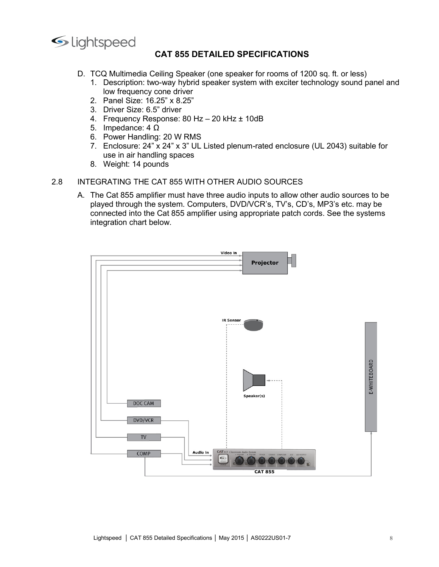

- 
- CAT 855 DETAILED SPECIFICATIONS<br>eiling Speaker (one speaker for rooms of 1200 sq. ft. or less)<br>o-way hybrid speaker system with exciter technology sound panel and<br>cone driver<br>25" x 8.25" CRIFICATIONS<br>
D. TCQ Multimedia Ceiling Speaker (one speaker for rooms of 1200 sq. ft. or less)<br>
1. Description: two-way hybrid speaker system with exciter technology sound panel and<br>
low frequency cone driver<br>
2. Panel S 1. 1. 1. **CAT 855 DETAILED SPECIFICATIONS**<br>
1. Description: two-way hybrid speaker for some of 1200 sq. ft. or less)<br>
1. Description: two-way hybrid speaker system with exciter technology sound panel and<br>
low frequency con Deed<br>
CAT 855 DETAILED SPECIFICATIONS<br>
2 Multimedia Ceiling Speaker (one speaker for rooms of 1200 sq. ft. or less)<br>
Description: two-way hybrid speaker system with exciter technology sound panel and<br>
low frequency cone dr 12. Panel Size: 6.5" CAT 855 DETAILED SPECIFICATIONS<br>2. Panel Size: 16.25 DETAILED SPECIFICATIONS<br>2. Panel Size: 16.25" x 8.25"<br>2. Panel Size: 16.25" x 8.25"<br>2. Driver Size: 6.5" driver<br>3. Driver Size: 6.5" driver<br>4. Frequ 1. Speed<br>
1. CQ Multimedia Ceiling Speaker (one speaker for rooms of 1200 sq. ft. or less)<br>
1. Description: two-way hybrid speaker system with exciter technology sound panel and<br>
1. Description: two-way hybrid speaker syst 1 Speed<br> **CAT 855 DETAILED SPECIFICATIONS**<br>
TCQ Multimedia Ceiling Speaker (one speaker for rooms of 1200 sq. ft. or less)<br>
1. Description: two-way hybrid speaker system with exciter technology sound panel and<br>
1. Descript Deed<br>
CAT 855 DETAILED SPECIFICATIONS<br>
Daterigion: two-way hybrid speaker for rooms of 1200 sq. ft. or less)<br>
Description: two-way hybrid speaker system with exciter technology sound panel and<br>
Dow frequency cone driver<br>
	-
	-
	-
	-
	-
	- Similar Comparison CAT 855 DETAILED SPECIFICATIONS<br>
	TCQ Multimedia Ceiling Speaker (one speaker for rooms of 1200 sq. ft. or less)<br>
	1. Description: two-way hybrid speaker system with exciter technology sound panel a<br>
	low 7. Enclosure: 24" x 24" x 3" UL Listed plenum-rated enclosure (UL 2043) suitable for
	-

12 policians CAT 855 DETAILED SPECIFICATIONS<br>
TCQ Multimedia Ceiling Speaker (one speaker for rooms of 1200 sq. ft. or less)<br>
1. Description: two-way hybrid speaker system with exciter technology sound pan<br>
1. Weight: 14 p 2.8 Its CREATING THE CAT 855 WITH OTHER AUDIO SOURCES<br>
2.8 THE CREATION SURVEY INTEGRATION SOLUTION TO DESCRIPT THE CATE CONDITION CONTROLL AND THE CATE CATE CONDITION CONTROLL CONDUCT AT THE CATE CATE CATE CATE CONDUCT CAT 855 DETAILED SPECIFICATIONS<br>
D. TCQ Multimedia Celling Speaker (one speaker for rooms of 1200 sq. ft. or less)<br>
1. Description: two-way hybrid speaker system with exciter technology sound panel and<br>
low frequency cone **CAT 855 DETAILED SPECIFICATIONS**<br>
TCQ Multimedia Ceiling Speaker (one speaker for rooms of 1200 sq. ft. or less)<br>
1. Description: Wo-way hybrid speaker system with exciter technology sound panel and<br>
low frequency cone dr CONDITED SPECTRICATIONS<br>
TCQ Multimedia Ceiling Speaker (one speaker for rooms of 1200 sq. ft. or less)<br>
1. Description: two-way hybrid speaker system with exciter technology sound panel and<br>
low frequency cone driver<br>
2. 123 COMBINITY CALCTER SPECIFICATIONS<br>
1. Description: two-way hybrid speaker for speaker for rooms of 1200 sq. ft. or less)<br>
1. Description: two-way hybrid speaker system with exciter technology sound panel<br>
1. Description